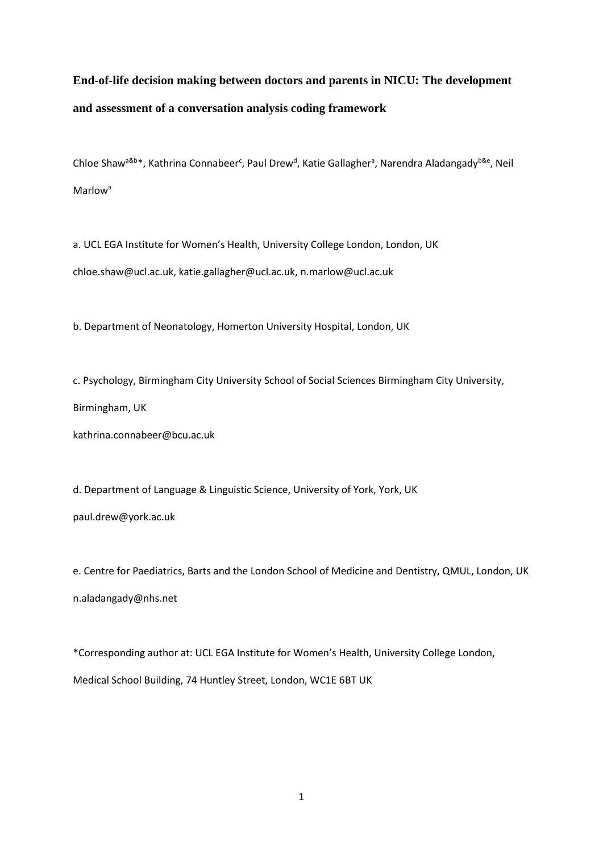## **End-of-life decision making between doctors and parents in NICU: The development and assessment of a conversation analysis coding framework**

Chloe Shaw<sup>a&b\*</sup>, Kathrina Connabeer<sup>c</sup>, Paul Drew<sup>d</sup>, Katie Gallagher<sup>a</sup>, Narendra Aladangady<sup>b&e</sup>, Neil **Marlow<sup>a</sup>** 

a. UCL EGA Institute for Women's Health, University College London, London, UK chloe.shaw@ucl.ac.uk, katie.gallagher@ucl.ac.uk, n.marlow@ucl.ac.uk

b. Department of Neonatology, Homerton University Hospital, London, UK

c. Psychology, Birmingham City University School of Social Sciences Birmingham City University, Birmingham, UK

kathrina.connabeer@bcu.ac.uk

d. Department of Language & Linguistic Science, University of York, York, UK paul.drew@york.ac.uk

e. Centre for Paediatrics, Barts and the London School of Medicine and Dentistry, QMUL, London, UK n.aladangady@nhs.net

\*Corresponding author at: UCL EGA Institute for Women's Health, University College London, Medical School Building, 74 Huntley Street, London, WC1E 6BT UK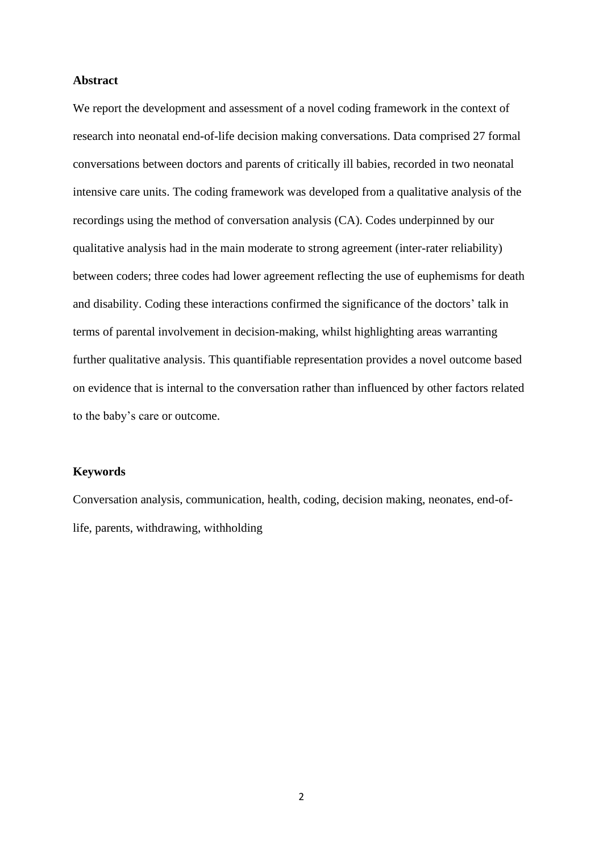### **Abstract**

We report the development and assessment of a novel coding framework in the context of research into neonatal end-of-life decision making conversations. Data comprised 27 formal conversations between doctors and parents of critically ill babies, recorded in two neonatal intensive care units. The coding framework was developed from a qualitative analysis of the recordings using the method of conversation analysis (CA). Codes underpinned by our qualitative analysis had in the main moderate to strong agreement (inter-rater reliability) between coders; three codes had lower agreement reflecting the use of euphemisms for death and disability. Coding these interactions confirmed the significance of the doctors' talk in terms of parental involvement in decision-making, whilst highlighting areas warranting further qualitative analysis. This quantifiable representation provides a novel outcome based on evidence that is internal to the conversation rather than influenced by other factors related to the baby's care or outcome.

#### **Keywords**

Conversation analysis, communication, health, coding, decision making, neonates, end-oflife, parents, withdrawing, withholding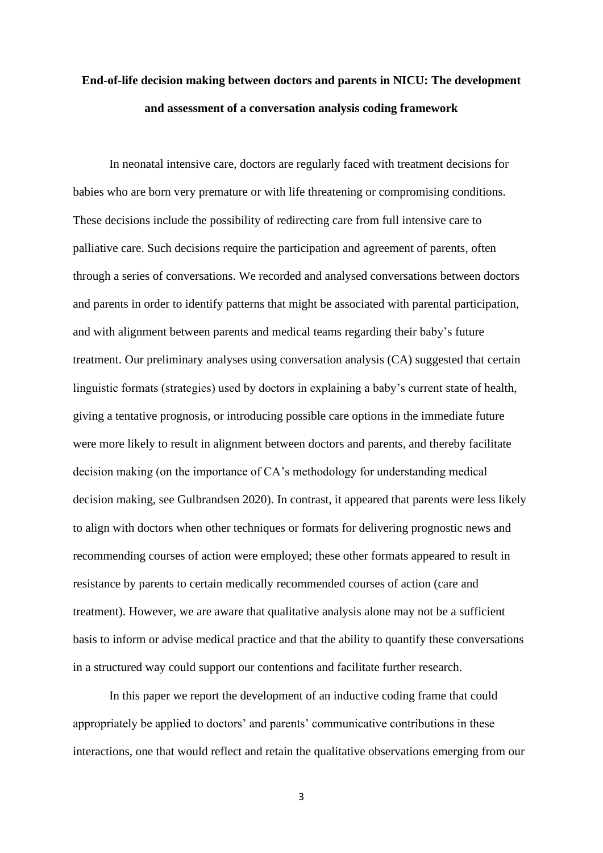## **End-of-life decision making between doctors and parents in NICU: The development and assessment of a conversation analysis coding framework**

In neonatal intensive care, doctors are regularly faced with treatment decisions for babies who are born very premature or with life threatening or compromising conditions. These decisions include the possibility of redirecting care from full intensive care to palliative care. Such decisions require the participation and agreement of parents, often through a series of conversations. We recorded and analysed conversations between doctors and parents in order to identify patterns that might be associated with parental participation, and with alignment between parents and medical teams regarding their baby's future treatment. Our preliminary analyses using conversation analysis (CA) suggested that certain linguistic formats (strategies) used by doctors in explaining a baby's current state of health, giving a tentative prognosis, or introducing possible care options in the immediate future were more likely to result in alignment between doctors and parents, and thereby facilitate decision making (on the importance of CA's methodology for understanding medical decision making, see Gulbrandsen 2020). In contrast, it appeared that parents were less likely to align with doctors when other techniques or formats for delivering prognostic news and recommending courses of action were employed; these other formats appeared to result in resistance by parents to certain medically recommended courses of action (care and treatment). However, we are aware that qualitative analysis alone may not be a sufficient basis to inform or advise medical practice and that the ability to quantify these conversations in a structured way could support our contentions and facilitate further research.

In this paper we report the development of an inductive coding frame that could appropriately be applied to doctors' and parents' communicative contributions in these interactions, one that would reflect and retain the qualitative observations emerging from our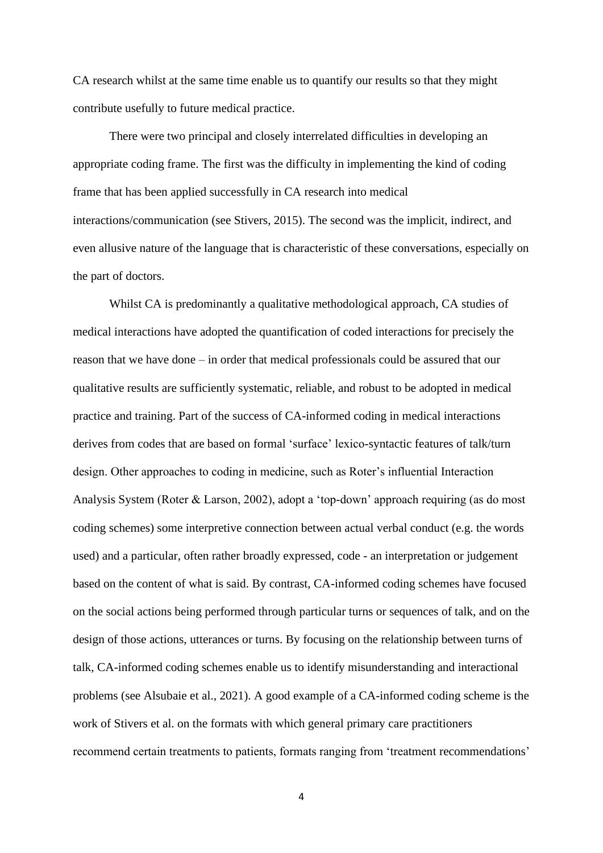CA research whilst at the same time enable us to quantify our results so that they might contribute usefully to future medical practice.

There were two principal and closely interrelated difficulties in developing an appropriate coding frame. The first was the difficulty in implementing the kind of coding frame that has been applied successfully in CA research into medical interactions/communication (see Stivers, 2015). The second was the implicit, indirect, and even allusive nature of the language that is characteristic of these conversations, especially on the part of doctors.

Whilst CA is predominantly a qualitative methodological approach, CA studies of medical interactions have adopted the quantification of coded interactions for precisely the reason that we have done – in order that medical professionals could be assured that our qualitative results are sufficiently systematic, reliable, and robust to be adopted in medical practice and training. Part of the success of CA-informed coding in medical interactions derives from codes that are based on formal 'surface' lexico-syntactic features of talk/turn design. Other approaches to coding in medicine, such as Roter's influential Interaction Analysis System (Roter & Larson, 2002), adopt a 'top-down' approach requiring (as do most coding schemes) some interpretive connection between actual verbal conduct (e.g. the words used) and a particular, often rather broadly expressed, code - an interpretation or judgement based on the content of what is said. By contrast, CA-informed coding schemes have focused on the social actions being performed through particular turns or sequences of talk, and on the design of those actions, utterances or turns. By focusing on the relationship between turns of talk, CA-informed coding schemes enable us to identify misunderstanding and interactional problems (see Alsubaie et al., 2021). A good example of a CA-informed coding scheme is the work of Stivers et al. on the formats with which general primary care practitioners recommend certain treatments to patients, formats ranging from 'treatment recommendations'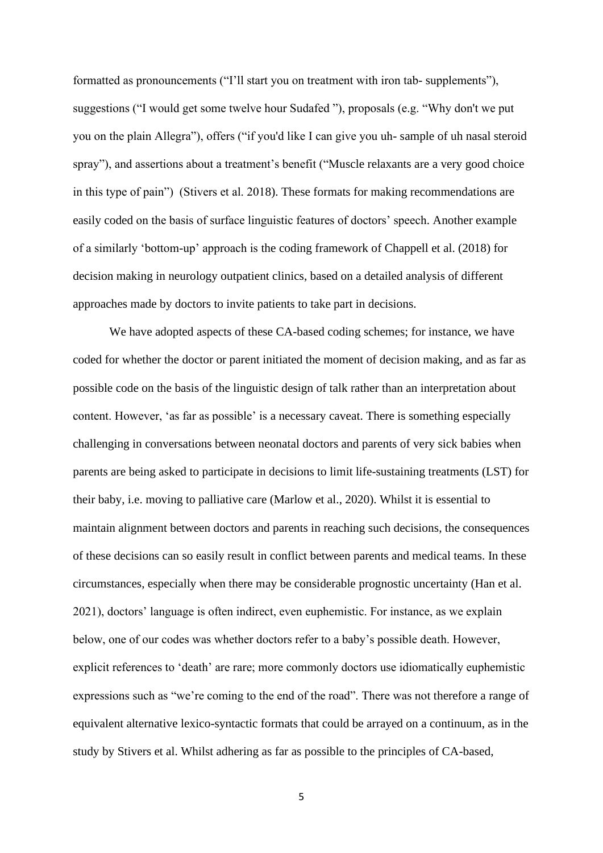formatted as pronouncements ("I'll start you on treatment with iron tab- supplements"), suggestions ("I would get some twelve hour Sudafed "), proposals (e.g. "Why don't we put you on the plain Allegra"), offers ("if you'd like I can give you uh- sample of uh nasal steroid spray"), and assertions about a treatment's benefit ("Muscle relaxants are a very good choice in this type of pain") (Stivers et al. 2018). These formats for making recommendations are easily coded on the basis of surface linguistic features of doctors' speech. Another example of a similarly 'bottom-up' approach is the coding framework of Chappell et al. (2018) for decision making in neurology outpatient clinics, based on a detailed analysis of different approaches made by doctors to invite patients to take part in decisions.

We have adopted aspects of these CA-based coding schemes; for instance, we have coded for whether the doctor or parent initiated the moment of decision making, and as far as possible code on the basis of the linguistic design of talk rather than an interpretation about content. However, 'as far as possible' is a necessary caveat. There is something especially challenging in conversations between neonatal doctors and parents of very sick babies when parents are being asked to participate in decisions to limit life-sustaining treatments (LST) for their baby, i.e. moving to palliative care (Marlow et al., 2020). Whilst it is essential to maintain alignment between doctors and parents in reaching such decisions, the consequences of these decisions can so easily result in conflict between parents and medical teams. In these circumstances, especially when there may be considerable prognostic uncertainty (Han et al. 2021), doctors' language is often indirect, even euphemistic. For instance, as we explain below, one of our codes was whether doctors refer to a baby's possible death. However, explicit references to 'death' are rare; more commonly doctors use idiomatically euphemistic expressions such as "we're coming to the end of the road". There was not therefore a range of equivalent alternative lexico-syntactic formats that could be arrayed on a continuum, as in the study by Stivers et al. Whilst adhering as far as possible to the principles of CA-based,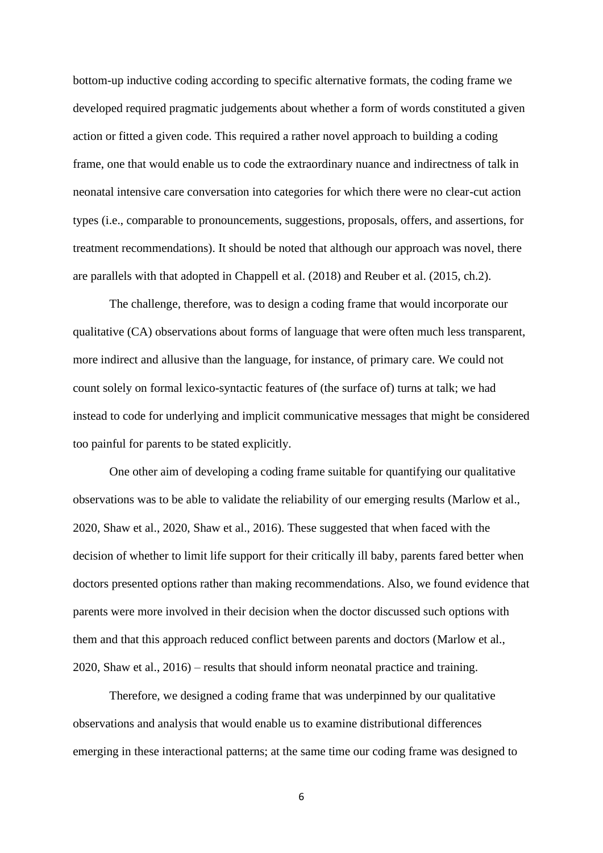bottom-up inductive coding according to specific alternative formats, the coding frame we developed required pragmatic judgements about whether a form of words constituted a given action or fitted a given code. This required a rather novel approach to building a coding frame, one that would enable us to code the extraordinary nuance and indirectness of talk in neonatal intensive care conversation into categories for which there were no clear-cut action types (i.e., comparable to pronouncements, suggestions, proposals, offers, and assertions, for treatment recommendations). It should be noted that although our approach was novel, there are parallels with that adopted in Chappell et al. (2018) and Reuber et al. (2015, ch.2).

The challenge, therefore, was to design a coding frame that would incorporate our qualitative (CA) observations about forms of language that were often much less transparent, more indirect and allusive than the language, for instance, of primary care. We could not count solely on formal lexico-syntactic features of (the surface of) turns at talk; we had instead to code for underlying and implicit communicative messages that might be considered too painful for parents to be stated explicitly.

One other aim of developing a coding frame suitable for quantifying our qualitative observations was to be able to validate the reliability of our emerging results (Marlow et al., 2020, Shaw et al., 2020, Shaw et al., 2016). These suggested that when faced with the decision of whether to limit life support for their critically ill baby, parents fared better when doctors presented options rather than making recommendations. Also, we found evidence that parents were more involved in their decision when the doctor discussed such options with them and that this approach reduced conflict between parents and doctors (Marlow et al., 2020, Shaw et al., 2016) – results that should inform neonatal practice and training.

Therefore, we designed a coding frame that was underpinned by our qualitative observations and analysis that would enable us to examine distributional differences emerging in these interactional patterns; at the same time our coding frame was designed to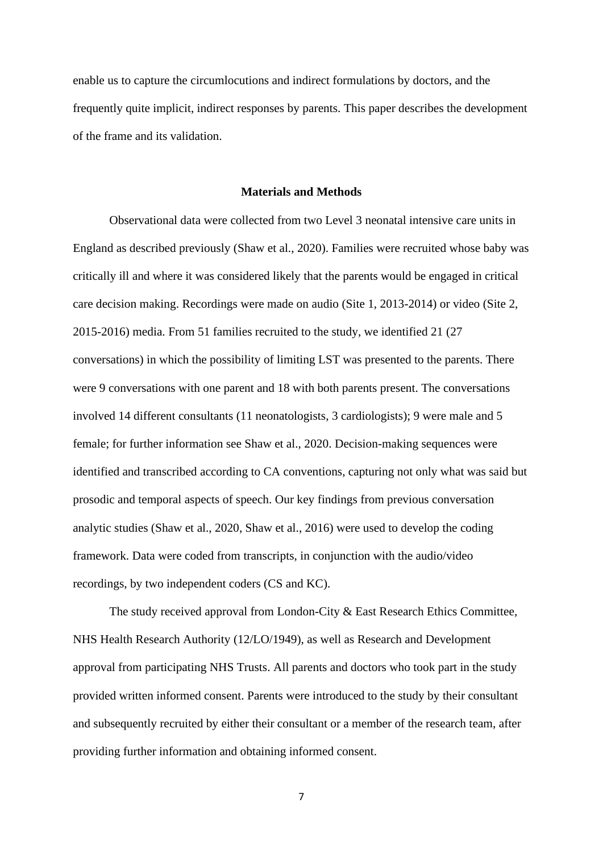enable us to capture the circumlocutions and indirect formulations by doctors, and the frequently quite implicit, indirect responses by parents. This paper describes the development of the frame and its validation.

#### **Materials and Methods**

Observational data were collected from two Level 3 neonatal intensive care units in England as described previously (Shaw et al., 2020). Families were recruited whose baby was critically ill and where it was considered likely that the parents would be engaged in critical care decision making. Recordings were made on audio (Site 1, 2013-2014) or video (Site 2, 2015-2016) media. From 51 families recruited to the study, we identified 21 (27 conversations) in which the possibility of limiting LST was presented to the parents. There were 9 conversations with one parent and 18 with both parents present. The conversations involved 14 different consultants (11 neonatologists, 3 cardiologists); 9 were male and 5 female; for further information see Shaw et al., 2020. Decision-making sequences were identified and transcribed according to CA conventions, capturing not only what was said but prosodic and temporal aspects of speech. Our key findings from previous conversation analytic studies (Shaw et al., 2020, Shaw et al., 2016) were used to develop the coding framework. Data were coded from transcripts, in conjunction with the audio/video recordings, by two independent coders (CS and KC).

The study received approval from London-City & East Research Ethics Committee, NHS Health Research Authority (12/LO/1949), as well as Research and Development approval from participating NHS Trusts. All parents and doctors who took part in the study provided written informed consent. Parents were introduced to the study by their consultant and subsequently recruited by either their consultant or a member of the research team, after providing further information and obtaining informed consent.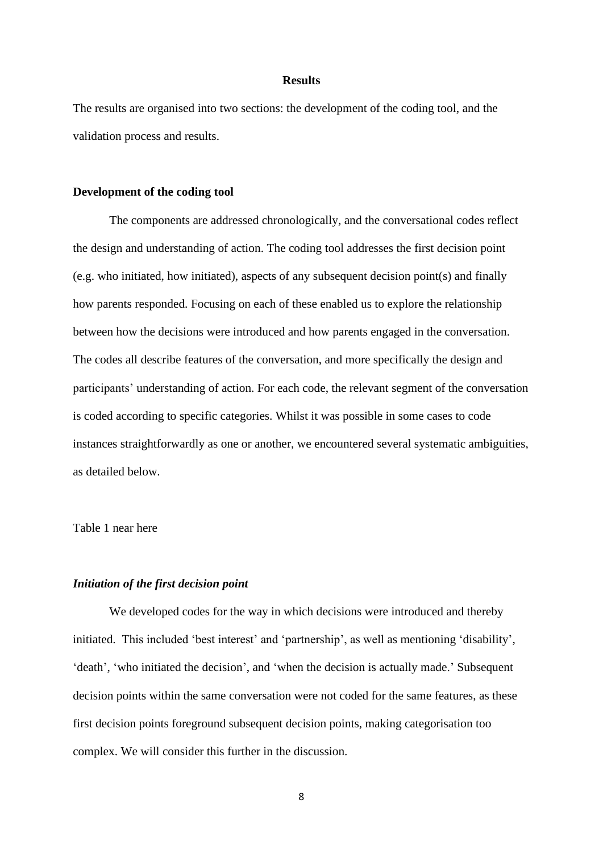### **Results**

The results are organised into two sections: the development of the coding tool, and the validation process and results.

### **Development of the coding tool**

The components are addressed chronologically, and the conversational codes reflect the design and understanding of action. The coding tool addresses the first decision point (e.g. who initiated, how initiated), aspects of any subsequent decision point(s) and finally how parents responded. Focusing on each of these enabled us to explore the relationship between how the decisions were introduced and how parents engaged in the conversation. The codes all describe features of the conversation, and more specifically the design and participants' understanding of action. For each code, the relevant segment of the conversation is coded according to specific categories. Whilst it was possible in some cases to code instances straightforwardly as one or another, we encountered several systematic ambiguities, as detailed below.

## Table 1 near here

#### *Initiation of the first decision point*

We developed codes for the way in which decisions were introduced and thereby initiated. This included 'best interest' and 'partnership', as well as mentioning 'disability', 'death', 'who initiated the decision', and 'when the decision is actually made.' Subsequent decision points within the same conversation were not coded for the same features, as these first decision points foreground subsequent decision points, making categorisation too complex. We will consider this further in the discussion.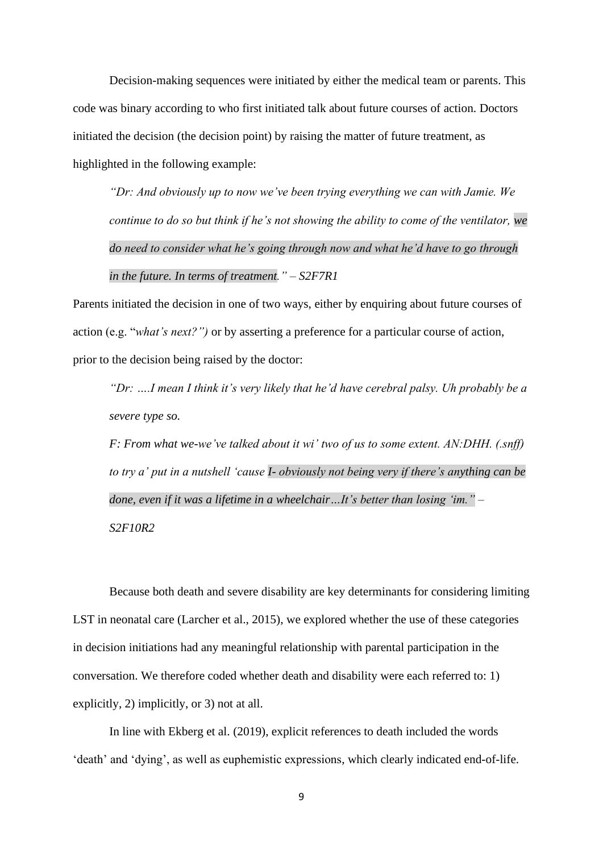Decision-making sequences were initiated by either the medical team or parents. This code was binary according to who first initiated talk about future courses of action. Doctors initiated the decision (the decision point) by raising the matter of future treatment, as highlighted in the following example:

*"Dr: And obviously up to now we've been trying everything we can with Jamie. We continue to do so but think if he's not showing the ability to come of the ventilator, we do need to consider what he's going through now and what he'd have to go through in the future. In terms of treatment." – S2F7R1*

Parents initiated the decision in one of two ways, either by enquiring about future courses of action (e.g. "*what's next?")* or by asserting a preference for a particular course of action, prior to the decision being raised by the doctor:

*"Dr: ….I mean I think it's very likely that he'd have cerebral palsy. Uh probably be a severe type so.* 

*F: From what we-we've talked about it wi' two of us to some extent. AN:DHH. (.snff) to try a' put in a nutshell 'cause I- obviously not being very if there's anything can be done, even if it was a lifetime in a wheelchair…It's better than losing 'im." – S2F10R2*

Because both death and severe disability are key determinants for considering limiting LST in neonatal care (Larcher et al., 2015), we explored whether the use of these categories in decision initiations had any meaningful relationship with parental participation in the conversation. We therefore coded whether death and disability were each referred to: 1) explicitly, 2) implicitly, or 3) not at all.

In line with Ekberg et al. (2019), explicit references to death included the words 'death' and 'dying', as well as euphemistic expressions, which clearly indicated end-of-life.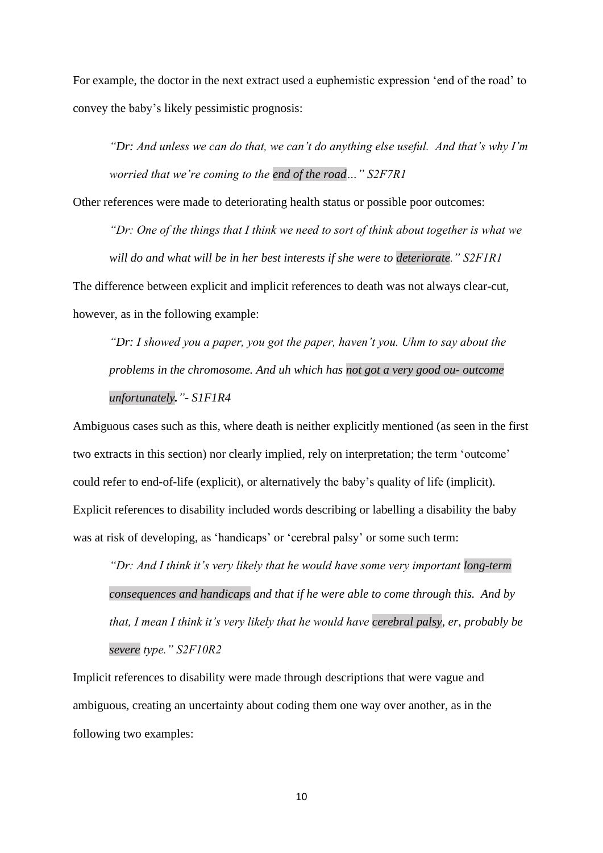For example, the doctor in the next extract used a euphemistic expression 'end of the road' to convey the baby's likely pessimistic prognosis:

*"Dr: And unless we can do that, we can't do anything else useful. And that's why I'm worried that we're coming to the end of the road…" S2F7R1*

Other references were made to deteriorating health status or possible poor outcomes:

*"Dr: One of the things that I think we need to sort of think about together is what we will do and what will be in her best interests if she were to deteriorate." S2F1R1* The difference between explicit and implicit references to death was not always clear-cut, however, as in the following example:

*"Dr: I showed you a paper, you got the paper, haven't you. Uhm to say about the problems in the chromosome. And uh which has not got a very good ou- outcome unfortunately."- S1F1R4*

Ambiguous cases such as this, where death is neither explicitly mentioned (as seen in the first two extracts in this section) nor clearly implied, rely on interpretation; the term 'outcome' could refer to end-of-life (explicit), or alternatively the baby's quality of life (implicit). Explicit references to disability included words describing or labelling a disability the baby was at risk of developing, as 'handicaps' or 'cerebral palsy' or some such term:

*"Dr: And I think it's very likely that he would have some very important long-term consequences and handicaps and that if he were able to come through this. And by that, I mean I think it's very likely that he would have cerebral palsy, er, probably be severe type." S2F10R2*

Implicit references to disability were made through descriptions that were vague and ambiguous, creating an uncertainty about coding them one way over another, as in the following two examples: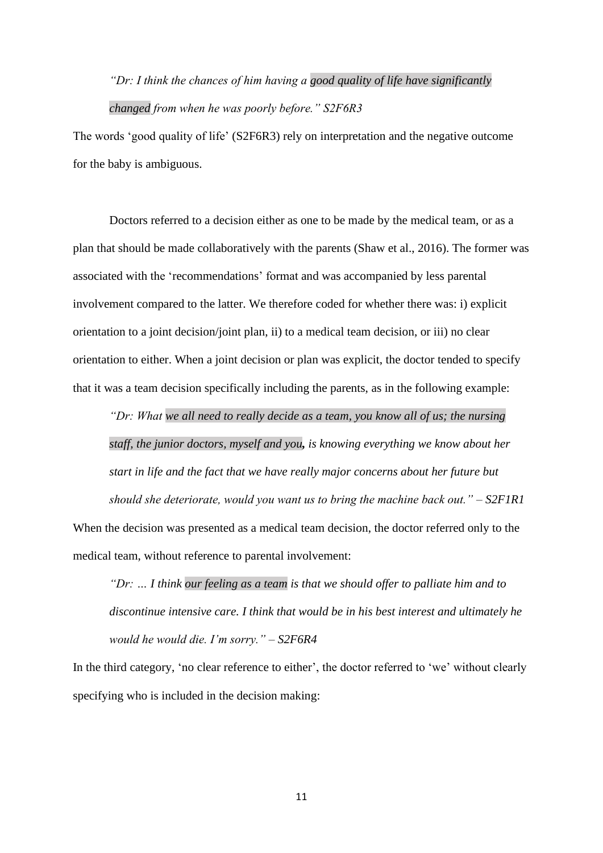# *"Dr: I think the chances of him having a good quality of life have significantly changed from when he was poorly before." S2F6R3*

The words 'good quality of life' (S2F6R3) rely on interpretation and the negative outcome for the baby is ambiguous.

Doctors referred to a decision either as one to be made by the medical team, or as a plan that should be made collaboratively with the parents (Shaw et al., 2016). The former was associated with the 'recommendations' format and was accompanied by less parental involvement compared to the latter. We therefore coded for whether there was: i) explicit orientation to a joint decision/joint plan, ii) to a medical team decision, or iii) no clear orientation to either. When a joint decision or plan was explicit, the doctor tended to specify that it was a team decision specifically including the parents, as in the following example:

*"Dr: What we all need to really decide as a team, you know all of us; the nursing staff, the junior doctors, myself and you, is knowing everything we know about her start in life and the fact that we have really major concerns about her future but* 

*should she deteriorate, would you want us to bring the machine back out." – S2F1R1*

When the decision was presented as a medical team decision, the doctor referred only to the medical team, without reference to parental involvement:

*"Dr: … I think our feeling as a team is that we should offer to palliate him and to discontinue intensive care. I think that would be in his best interest and ultimately he would he would die. I'm sorry." – S2F6R4*

In the third category, 'no clear reference to either', the doctor referred to 'we' without clearly specifying who is included in the decision making: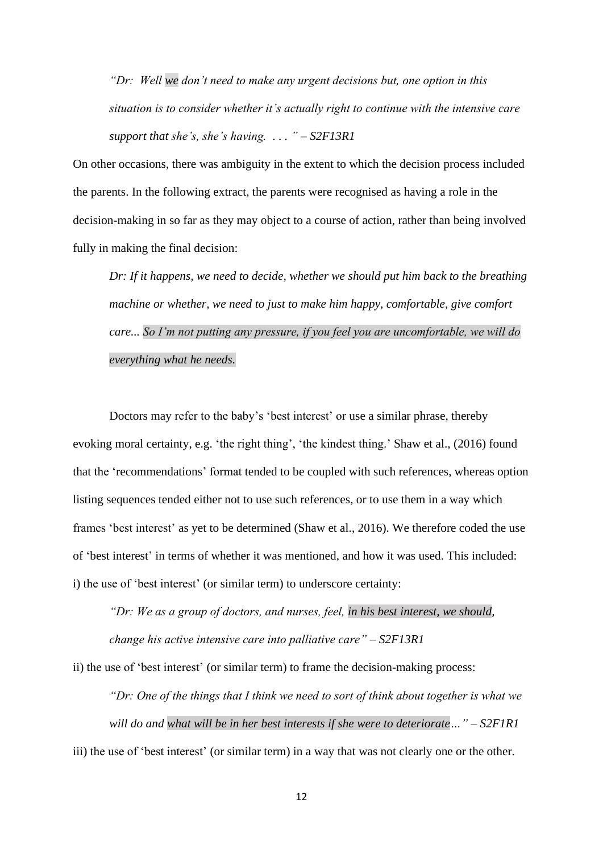*"Dr: Well we don't need to make any urgent decisions but, one option in this situation is to consider whether it's actually right to continue with the intensive care support that she's, she's having. . . . " – S2F13R1*

On other occasions, there was ambiguity in the extent to which the decision process included the parents. In the following extract, the parents were recognised as having a role in the decision-making in so far as they may object to a course of action, rather than being involved fully in making the final decision:

*Dr: If it happens, we need to decide, whether we should put him back to the breathing machine or whether, we need to just to make him happy, comfortable, give comfort care... So I'm not putting any pressure, if you feel you are uncomfortable, we will do everything what he needs.*

Doctors may refer to the baby's 'best interest' or use a similar phrase, thereby evoking moral certainty, e.g. 'the right thing', 'the kindest thing.' Shaw et al., (2016) found that the 'recommendations' format tended to be coupled with such references, whereas option listing sequences tended either not to use such references, or to use them in a way which frames 'best interest' as yet to be determined (Shaw et al., 2016). We therefore coded the use of 'best interest' in terms of whether it was mentioned, and how it was used. This included: i) the use of 'best interest' (or similar term) to underscore certainty:

*"Dr: We as a group of doctors, and nurses, feel, in his best interest, we should, change his active intensive care into palliative care" – S2F13R1*

ii) the use of 'best interest' (or similar term) to frame the decision-making process:

*"Dr: One of the things that I think we need to sort of think about together is what we will do and what will be in her best interests if she were to deteriorate…" – S2F1R1* iii) the use of 'best interest' (or similar term) in a way that was not clearly one or the other.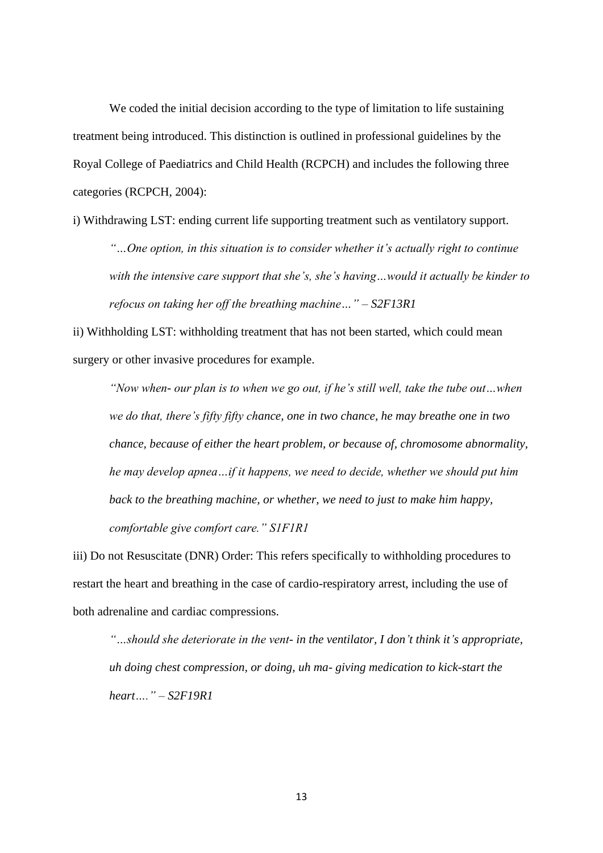We coded the initial decision according to the type of limitation to life sustaining treatment being introduced. This distinction is outlined in professional guidelines by the Royal College of Paediatrics and Child Health (RCPCH) and includes the following three categories (RCPCH, 2004):

i) Withdrawing LST: ending current life supporting treatment such as ventilatory support.

*"…One option, in this situation is to consider whether it's actually right to continue with the intensive care support that she's, she's having…would it actually be kinder to refocus on taking her off the breathing machine…" – S2F13R1*

ii) Withholding LST: withholding treatment that has not been started, which could mean surgery or other invasive procedures for example.

*"Now when- our plan is to when we go out, if he's still well, take the tube out…when we do that, there's fifty fifty chance, one in two chance, he may breathe one in two chance, because of either the heart problem, or because of, chromosome abnormality, he may develop apnea…if it happens, we need to decide, whether we should put him back to the breathing machine, or whether, we need to just to make him happy, comfortable give comfort care." S1F1R1*

iii) Do not Resuscitate (DNR) Order: This refers specifically to withholding procedures to restart the heart and breathing in the case of cardio-respiratory arrest, including the use of both adrenaline and cardiac compressions.

*"…should she deteriorate in the vent- in the ventilator, I don't think it's appropriate, uh doing chest compression, or doing, uh ma- giving medication to kick-start the heart…." – S2F19R1*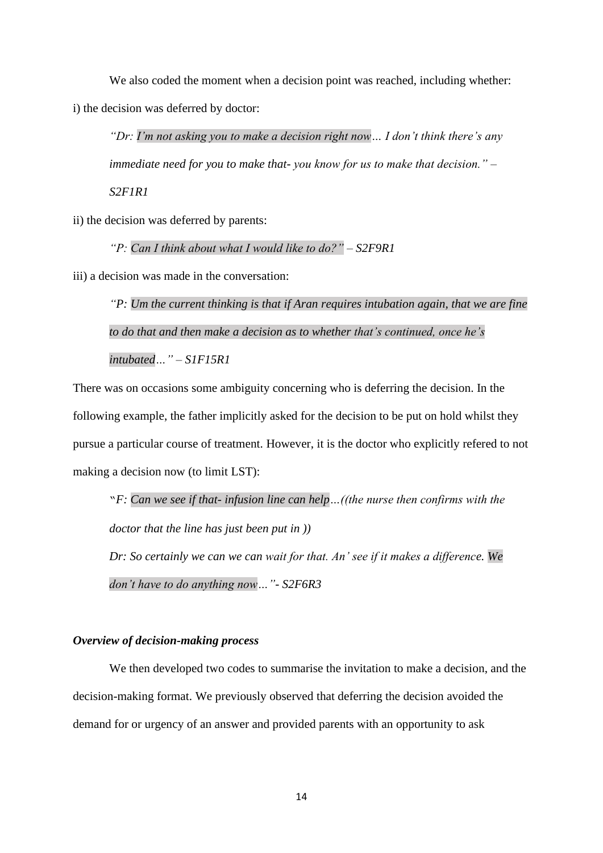We also coded the moment when a decision point was reached, including whether: i) the decision was deferred by doctor:

*"Dr: I'm not asking you to make a decision right now… I don't think there's any immediate need for you to make that- you know for us to make that decision." –*

*S2F1R1*

ii) the decision was deferred by parents:

*"P: Can I think about what I would like to do?" – S2F9R1*

iii) a decision was made in the conversation:

*"P: Um the current thinking is that if Aran requires intubation again, that we are fine to do that and then make a decision as to whether that's continued, once he's intubated…" – S1F15R1*

There was on occasions some ambiguity concerning who is deferring the decision. In the following example, the father implicitly asked for the decision to be put on hold whilst they pursue a particular course of treatment. However, it is the doctor who explicitly refered to not making a decision now (to limit LST):

"*F: Can we see if that- infusion line can help…((the nurse then confirms with the doctor that the line has just been put in ))* 

*Dr: So certainly we can we can wait for that. An' see if it makes a difference. We don't have to do anything now…"- S2F6R3*

## *Overview of decision-making process*

We then developed two codes to summarise the invitation to make a decision, and the decision-making format. We previously observed that deferring the decision avoided the demand for or urgency of an answer and provided parents with an opportunity to ask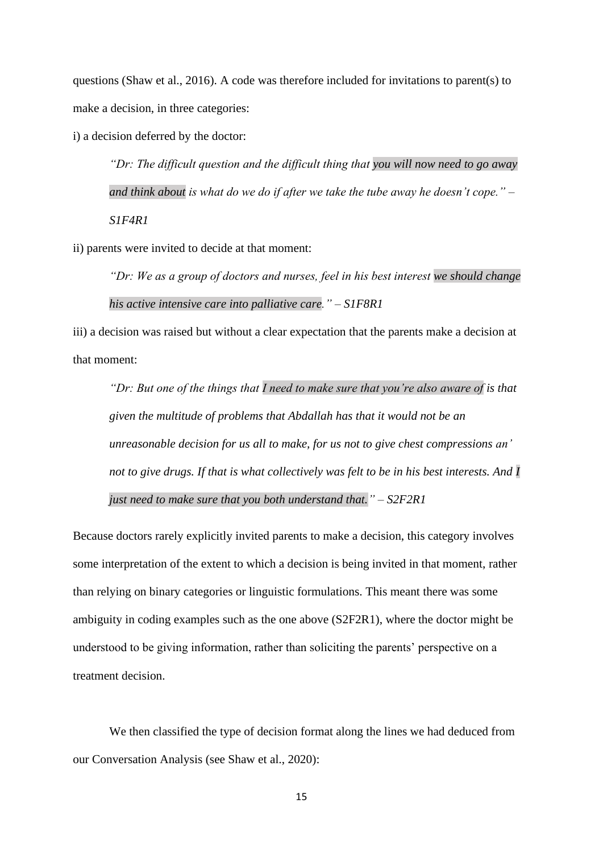questions (Shaw et al., 2016). A code was therefore included for invitations to parent(s) to make a decision, in three categories:

i) a decision deferred by the doctor:

*"Dr: The difficult question and the difficult thing that you will now need to go away and think about is what do we do if after we take the tube away he doesn't cope." – S1F4R1*

ii) parents were invited to decide at that moment:

*"Dr: We as a group of doctors and nurses, feel in his best interest we should change his active intensive care into palliative care." – S1F8R1*

iii) a decision was raised but without a clear expectation that the parents make a decision at that moment:

*"Dr: But one of the things that I need to make sure that you're also aware of is that given the multitude of problems that Abdallah has that it would not be an unreasonable decision for us all to make, for us not to give chest compressions an' not to give drugs. If that is what collectively was felt to be in his best interests. And I just need to make sure that you both understand that." – S2F2R1*

Because doctors rarely explicitly invited parents to make a decision, this category involves some interpretation of the extent to which a decision is being invited in that moment, rather than relying on binary categories or linguistic formulations. This meant there was some ambiguity in coding examples such as the one above (S2F2R1), where the doctor might be understood to be giving information, rather than soliciting the parents' perspective on a treatment decision.

We then classified the type of decision format along the lines we had deduced from our Conversation Analysis (see Shaw et al., 2020):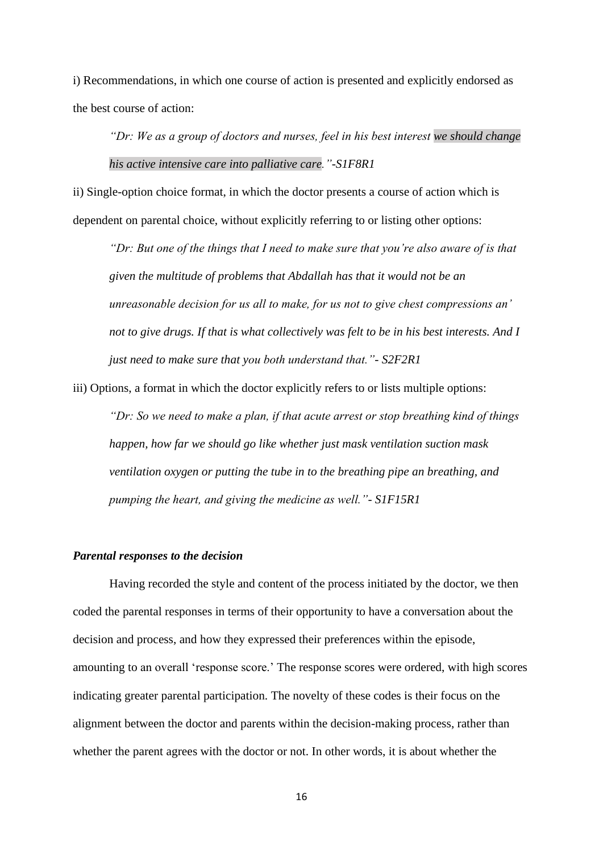i) Recommendations, in which one course of action is presented and explicitly endorsed as the best course of action:

*"Dr: We as a group of doctors and nurses, feel in his best interest we should change his active intensive care into palliative care."-S1F8R1*

ii) Single-option choice format, in which the doctor presents a course of action which is dependent on parental choice, without explicitly referring to or listing other options:

*"Dr: But one of the things that I need to make sure that you're also aware of is that given the multitude of problems that Abdallah has that it would not be an unreasonable decision for us all to make, for us not to give chest compressions an' not to give drugs. If that is what collectively was felt to be in his best interests. And I just need to make sure that you both understand that."- S2F2R1*

iii) Options, a format in which the doctor explicitly refers to or lists multiple options: *"Dr: So we need to make a plan, if that acute arrest or stop breathing kind of things happen, how far we should go like whether just mask ventilation suction mask ventilation oxygen or putting the tube in to the breathing pipe an breathing, and pumping the heart, and giving the medicine as well."- S1F15R1*

### *Parental responses to the decision*

Having recorded the style and content of the process initiated by the doctor, we then coded the parental responses in terms of their opportunity to have a conversation about the decision and process, and how they expressed their preferences within the episode, amounting to an overall 'response score.' The response scores were ordered, with high scores indicating greater parental participation. The novelty of these codes is their focus on the alignment between the doctor and parents within the decision-making process, rather than whether the parent agrees with the doctor or not. In other words, it is about whether the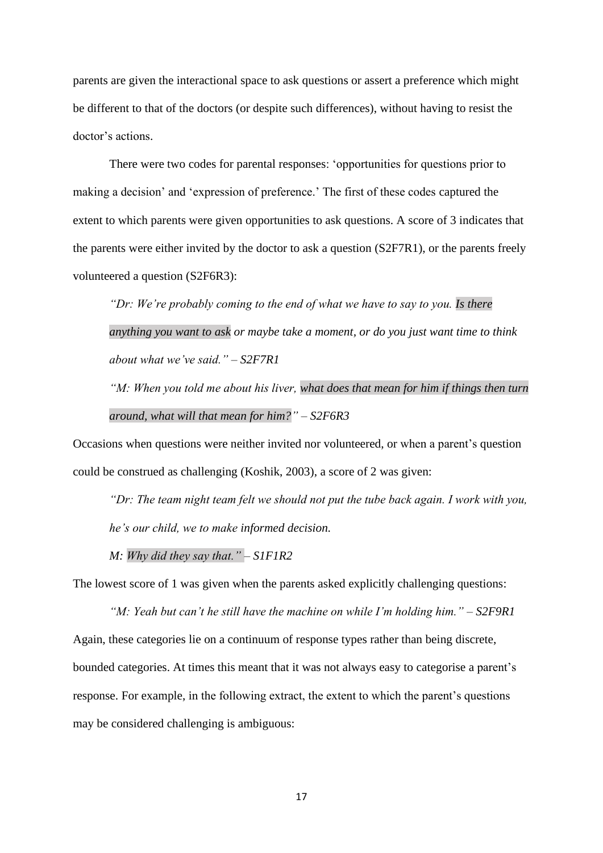parents are given the interactional space to ask questions or assert a preference which might be different to that of the doctors (or despite such differences), without having to resist the doctor's actions.

There were two codes for parental responses: 'opportunities for questions prior to making a decision' and 'expression of preference.' The first of these codes captured the extent to which parents were given opportunities to ask questions. A score of 3 indicates that the parents were either invited by the doctor to ask a question (S2F7R1), or the parents freely volunteered a question (S2F6R3):

*"Dr: We're probably coming to the end of what we have to say to you. Is there anything you want to ask or maybe take a moment, or do you just want time to think about what we've said." – S2F7R1*

*"M: When you told me about his liver, what does that mean for him if things then turn around, what will that mean for him?" – S2F6R3*

Occasions when questions were neither invited nor volunteered, or when a parent's question could be construed as challenging (Koshik, 2003), a score of 2 was given:

*"Dr: The team night team felt we should not put the tube back again. I work with you, he's our child, we to make informed decision.*

*M: Why did they say that." – S1F1R2*

The lowest score of 1 was given when the parents asked explicitly challenging questions:

*"M: Yeah but can't he still have the machine on while I'm holding him." – S2F9R1* Again, these categories lie on a continuum of response types rather than being discrete, bounded categories. At times this meant that it was not always easy to categorise a parent's response. For example, in the following extract, the extent to which the parent's questions may be considered challenging is ambiguous: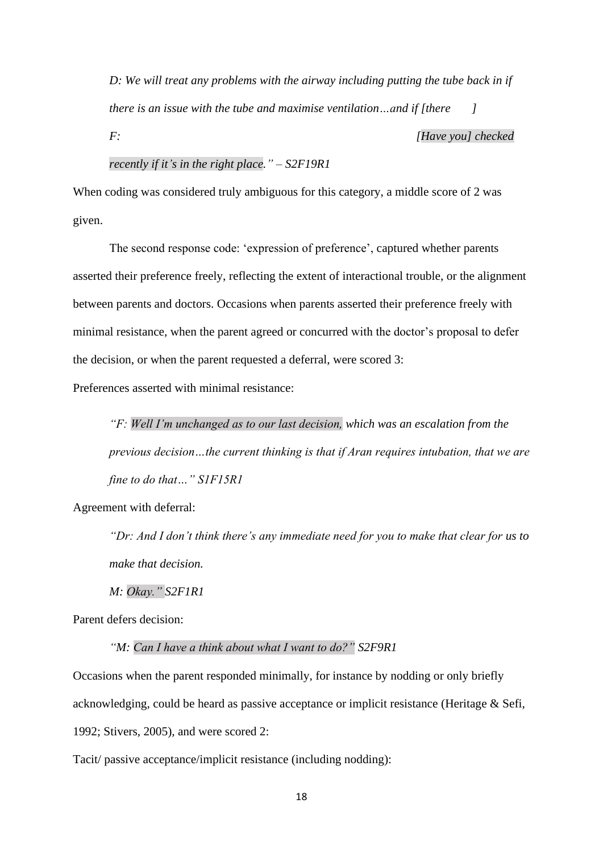*D: We will treat any problems with the airway including putting the tube back in if there is an issue with the tube and maximise ventilation…and if [there ] F: [Have you] checked*

## *recently if it's in the right place." – S2F19R1*

When coding was considered truly ambiguous for this category, a middle score of 2 was given.

The second response code: 'expression of preference', captured whether parents asserted their preference freely, reflecting the extent of interactional trouble, or the alignment between parents and doctors. Occasions when parents asserted their preference freely with minimal resistance, when the parent agreed or concurred with the doctor's proposal to defer the decision, or when the parent requested a deferral, were scored 3:

Preferences asserted with minimal resistance:

*"F: Well I'm unchanged as to our last decision, which was an escalation from the previous decision…the current thinking is that if Aran requires intubation, that we are fine to do that…" S1F15R1*

Agreement with deferral:

*"Dr: And I don't think there's any immediate need for you to make that clear for us to make that decision.*

*M: Okay." S2F1R1*

Parent defers decision:

*"M: Can I have a think about what I want to do?" S2F9R1* 

Occasions when the parent responded minimally, for instance by nodding or only briefly acknowledging, could be heard as passive acceptance or implicit resistance (Heritage & Sefi, 1992; Stivers, 2005), and were scored 2:

Tacit/ passive acceptance/implicit resistance (including nodding):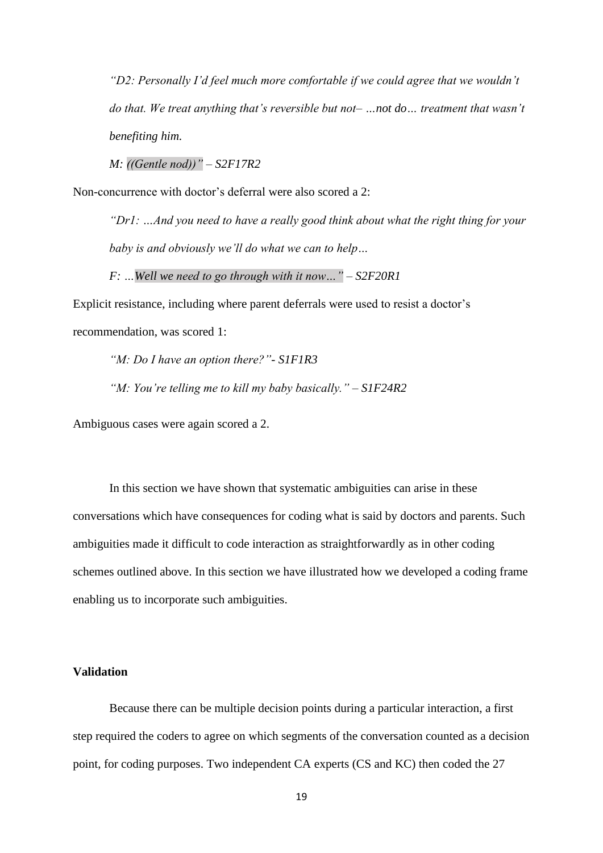*"D2: Personally I'd feel much more comfortable if we could agree that we wouldn't do that. We treat anything that's reversible but not– …not do… treatment that wasn't benefiting him.*

*M: ((Gentle nod))" – S2F17R2*

Non-concurrence with doctor's deferral were also scored a 2:

*"Dr1: …And you need to have a really good think about what the right thing for your baby is and obviously we'll do what we can to help…*

*F: …Well we need to go through with it now…" – S2F20R1*

Explicit resistance, including where parent deferrals were used to resist a doctor's recommendation, was scored 1:

*"M: Do I have an option there?"- S1F1R3*

*"M: You're telling me to kill my baby basically." – S1F24R2*

Ambiguous cases were again scored a 2.

In this section we have shown that systematic ambiguities can arise in these conversations which have consequences for coding what is said by doctors and parents. Such ambiguities made it difficult to code interaction as straightforwardly as in other coding schemes outlined above. In this section we have illustrated how we developed a coding frame enabling us to incorporate such ambiguities.

## **Validation**

Because there can be multiple decision points during a particular interaction, a first step required the coders to agree on which segments of the conversation counted as a decision point, for coding purposes. Two independent CA experts (CS and KC) then coded the 27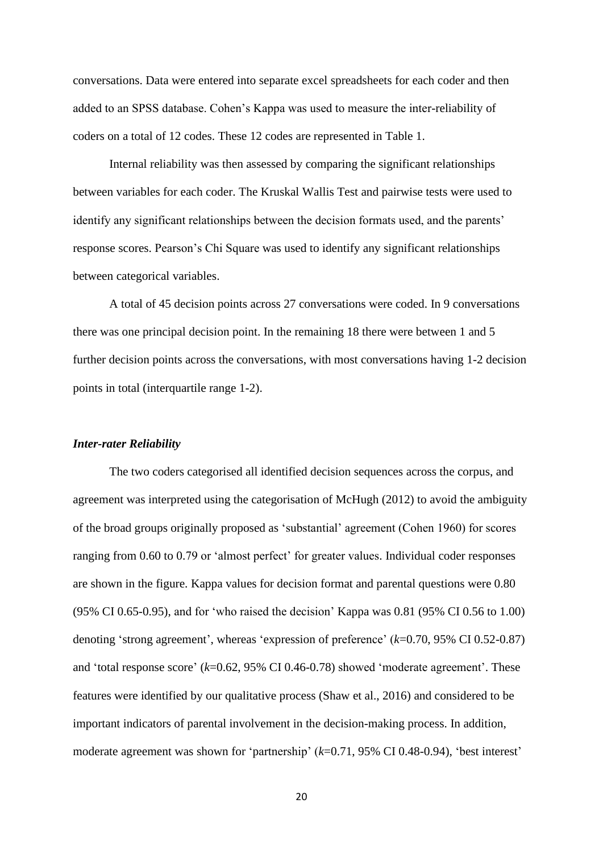conversations. Data were entered into separate excel spreadsheets for each coder and then added to an SPSS database. Cohen's Kappa was used to measure the inter-reliability of coders on a total of 12 codes. These 12 codes are represented in Table 1.

Internal reliability was then assessed by comparing the significant relationships between variables for each coder. The Kruskal Wallis Test and pairwise tests were used to identify any significant relationships between the decision formats used, and the parents' response scores. Pearson's Chi Square was used to identify any significant relationships between categorical variables.

A total of 45 decision points across 27 conversations were coded. In 9 conversations there was one principal decision point. In the remaining 18 there were between 1 and 5 further decision points across the conversations, with most conversations having 1-2 decision points in total (interquartile range 1-2).

#### *Inter-rater Reliability*

The two coders categorised all identified decision sequences across the corpus, and agreement was interpreted using the categorisation of McHugh (2012) to avoid the ambiguity of the broad groups originally proposed as 'substantial' agreement (Cohen 1960) for scores ranging from 0.60 to 0.79 or 'almost perfect' for greater values. Individual coder responses are shown in the figure. Kappa values for decision format and parental questions were 0.80 (95% CI 0.65-0.95), and for 'who raised the decision' Kappa was 0.81 (95% CI 0.56 to 1.00) denoting 'strong agreement', whereas 'expression of preference' (*k*=0.70, 95% CI 0.52-0.87) and 'total response score' (*k*=0.62, 95% CI 0.46-0.78) showed 'moderate agreement'. These features were identified by our qualitative process (Shaw et al., 2016) and considered to be important indicators of parental involvement in the decision-making process. In addition, moderate agreement was shown for 'partnership' (*k*=0.71, 95% CI 0.48-0.94), 'best interest'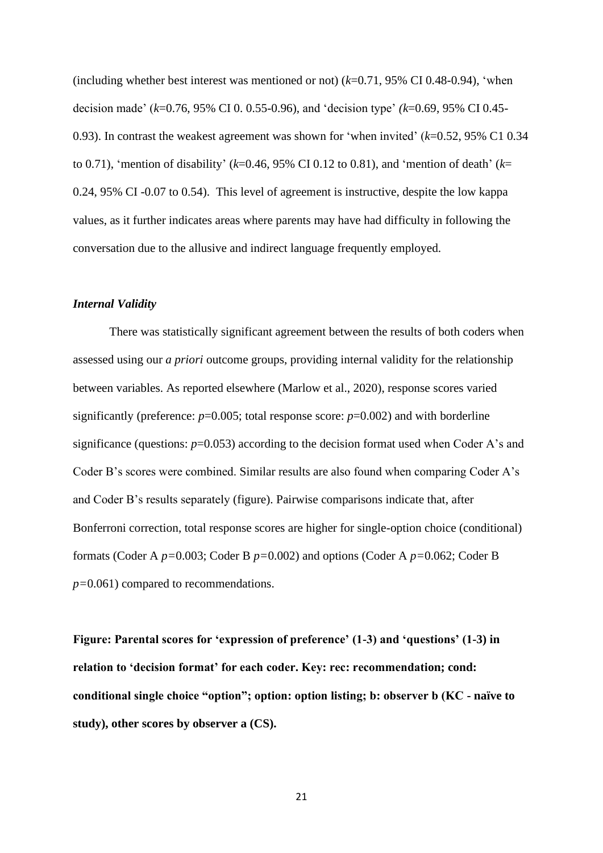(including whether best interest was mentioned or not) (*k*=0.71, 95% CI 0.48-0.94), 'when decision made' (*k*=0.76, 95% CI 0. 0.55-0.96), and 'decision type' *(k*=0.69, 95% CI 0.45- 0.93). In contrast the weakest agreement was shown for 'when invited' (*k*=0.52, 95% C1 0.34 to 0.71), 'mention of disability' ( $k=0.46$ , 95% CI 0.12 to 0.81), and 'mention of death' ( $k=$ 0.24, 95% CI -0.07 to 0.54). This level of agreement is instructive, despite the low kappa values, as it further indicates areas where parents may have had difficulty in following the conversation due to the allusive and indirect language frequently employed.

## *Internal Validity*

There was statistically significant agreement between the results of both coders when assessed using our *a priori* outcome groups, providing internal validity for the relationship between variables. As reported elsewhere (Marlow et al., 2020), response scores varied significantly (preference:  $p=0.005$ ; total response score:  $p=0.002$ ) and with borderline significance (questions: *p*=0.053) according to the decision format used when Coder A's and Coder B's scores were combined. Similar results are also found when comparing Coder A's and Coder B's results separately (figure). Pairwise comparisons indicate that, after Bonferroni correction, total response scores are higher for single-option choice (conditional) formats (Coder A *p=*0.003; Coder B *p=*0.002) and options (Coder A *p=*0.062; Coder B *p=*0.061) compared to recommendations.

**Figure: Parental scores for 'expression of preference' (1-3) and 'questions' (1-3) in relation to 'decision format' for each coder. Key: rec: recommendation; cond: conditional single choice "option"; option: option listing; b: observer b (KC - naïve to study), other scores by observer a (CS).**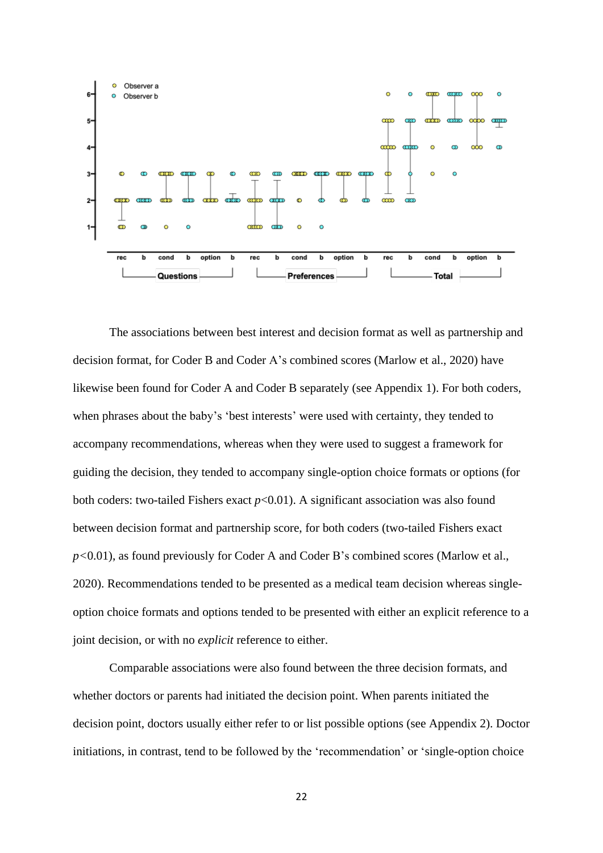

The associations between best interest and decision format as well as partnership and decision format, for Coder B and Coder A's combined scores (Marlow et al., 2020) have likewise been found for Coder A and Coder B separately (see Appendix 1). For both coders, when phrases about the baby's 'best interests' were used with certainty, they tended to accompany recommendations, whereas when they were used to suggest a framework for guiding the decision, they tended to accompany single-option choice formats or options (for both coders: two-tailed Fishers exact  $p<0.01$ ). A significant association was also found between decision format and partnership score, for both coders (two-tailed Fishers exact *p<*0.01), as found previously for Coder A and Coder B's combined scores (Marlow et al., 2020). Recommendations tended to be presented as a medical team decision whereas singleoption choice formats and options tended to be presented with either an explicit reference to a joint decision, or with no *explicit* reference to either.

Comparable associations were also found between the three decision formats, and whether doctors or parents had initiated the decision point. When parents initiated the decision point, doctors usually either refer to or list possible options (see Appendix 2). Doctor initiations, in contrast, tend to be followed by the 'recommendation' or 'single-option choice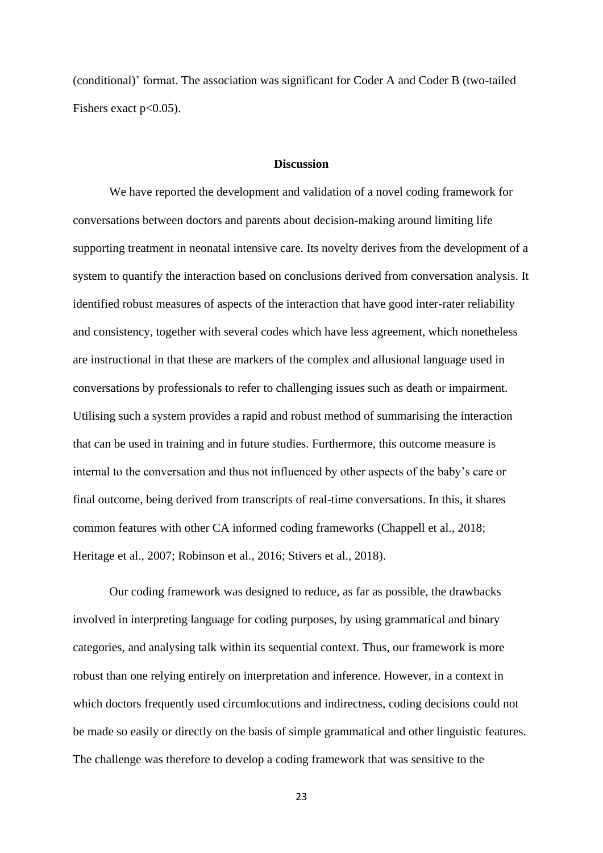(conditional)' format. The association was significant for Coder A and Coder B (two-tailed Fishers exact  $p<0.05$ ).

## **Discussion**

We have reported the development and validation of a novel coding framework for conversations between doctors and parents about decision-making around limiting life supporting treatment in neonatal intensive care. Its novelty derives from the development of a system to quantify the interaction based on conclusions derived from conversation analysis. It identified robust measures of aspects of the interaction that have good inter-rater reliability and consistency, together with several codes which have less agreement, which nonetheless are instructional in that these are markers of the complex and allusional language used in conversations by professionals to refer to challenging issues such as death or impairment. Utilising such a system provides a rapid and robust method of summarising the interaction that can be used in training and in future studies. Furthermore, this outcome measure is internal to the conversation and thus not influenced by other aspects of the baby's care or final outcome, being derived from transcripts of real-time conversations. In this, it shares common features with other CA informed coding frameworks (Chappell et al., 2018; Heritage et al., 2007; Robinson et al., 2016; Stivers et al., 2018).

Our coding framework was designed to reduce, as far as possible, the drawbacks involved in interpreting language for coding purposes, by using grammatical and binary categories, and analysing talk within its sequential context. Thus, our framework is more robust than one relying entirely on interpretation and inference. However, in a context in which doctors frequently used circumlocutions and indirectness, coding decisions could not be made so easily or directly on the basis of simple grammatical and other linguistic features. The challenge was therefore to develop a coding framework that was sensitive to the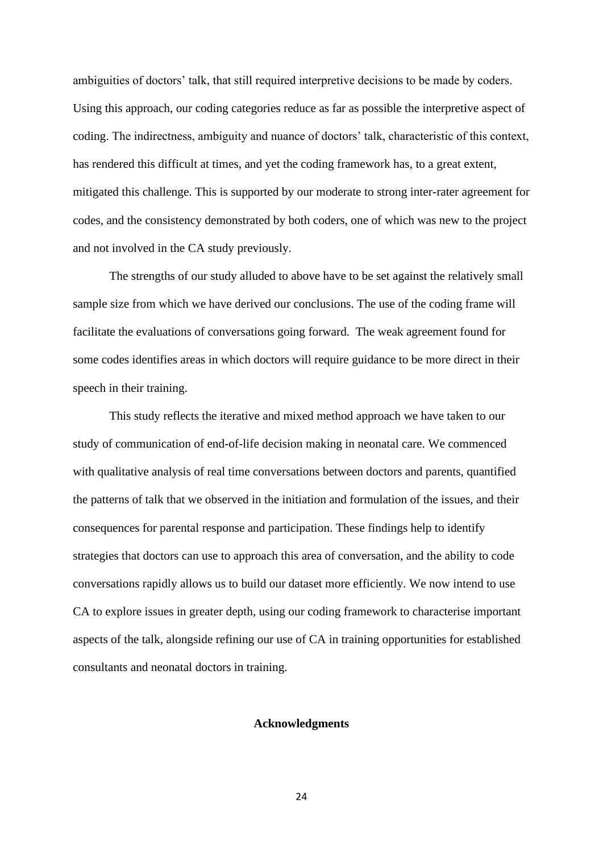ambiguities of doctors' talk, that still required interpretive decisions to be made by coders. Using this approach, our coding categories reduce as far as possible the interpretive aspect of coding. The indirectness, ambiguity and nuance of doctors' talk, characteristic of this context, has rendered this difficult at times, and yet the coding framework has, to a great extent, mitigated this challenge. This is supported by our moderate to strong inter-rater agreement for codes, and the consistency demonstrated by both coders, one of which was new to the project and not involved in the CA study previously.

The strengths of our study alluded to above have to be set against the relatively small sample size from which we have derived our conclusions. The use of the coding frame will facilitate the evaluations of conversations going forward. The weak agreement found for some codes identifies areas in which doctors will require guidance to be more direct in their speech in their training.

This study reflects the iterative and mixed method approach we have taken to our study of communication of end-of-life decision making in neonatal care. We commenced with qualitative analysis of real time conversations between doctors and parents, quantified the patterns of talk that we observed in the initiation and formulation of the issues, and their consequences for parental response and participation. These findings help to identify strategies that doctors can use to approach this area of conversation, and the ability to code conversations rapidly allows us to build our dataset more efficiently. We now intend to use CA to explore issues in greater depth, using our coding framework to characterise important aspects of the talk, alongside refining our use of CA in training opportunities for established consultants and neonatal doctors in training.

### **Acknowledgments**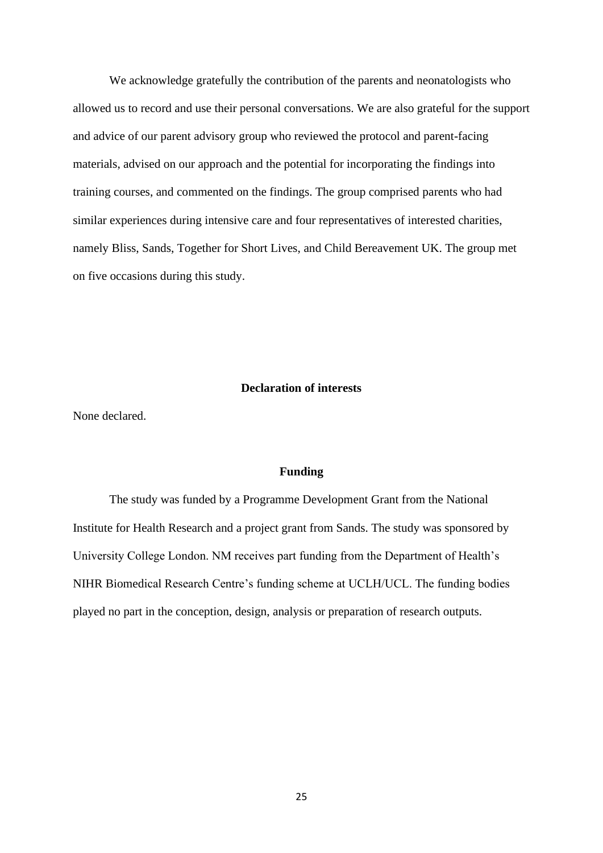We acknowledge gratefully the contribution of the parents and neonatologists who allowed us to record and use their personal conversations. We are also grateful for the support and advice of our parent advisory group who reviewed the protocol and parent-facing materials, advised on our approach and the potential for incorporating the findings into training courses, and commented on the findings. The group comprised parents who had similar experiences during intensive care and four representatives of interested charities, namely Bliss, Sands, Together for Short Lives, and Child Bereavement UK. The group met on five occasions during this study.

## **Declaration of interests**

None declared.

#### **Funding**

The study was funded by a Programme Development Grant from the National Institute for Health Research and a project grant from Sands. The study was sponsored by University College London. NM receives part funding from the Department of Health's NIHR Biomedical Research Centre's funding scheme at UCLH/UCL. The funding bodies played no part in the conception, design, analysis or preparation of research outputs.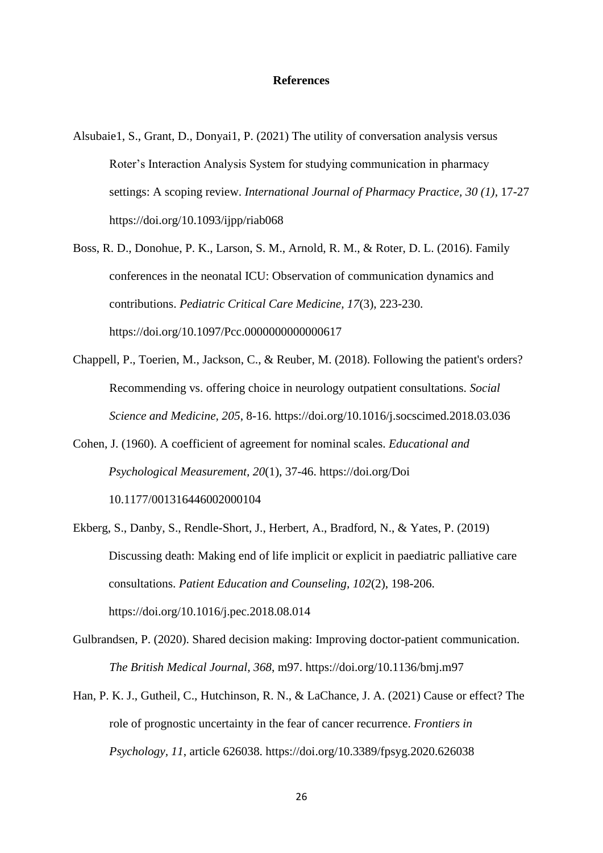#### **References**

- Alsubaie1, S., Grant, D., Donyai1, P. (2021) The utility of conversation analysis versus Roter's Interaction Analysis System for studying communication in pharmacy settings: A scoping review. *International Journal of Pharmacy Practice, 30 (1),* 17-27 <https://doi.org/10.1093/ijpp/riab068>
- Boss, R. D., Donohue, P. K., Larson, S. M., Arnold, R. M., & Roter, D. L. (2016). Family conferences in the neonatal ICU: Observation of communication dynamics and contributions. *Pediatric Critical Care Medicine, 17*(3), 223-230. https://doi.org/10.1097/Pcc.0000000000000617
- Chappell, P., Toerien, M., Jackson, C., & Reuber, M. (2018). Following the patient's orders? Recommending vs. offering choice in neurology outpatient consultations. *Social Science and Medicine, 205*, 8-16. https://doi.org/10.1016/j.socscimed.2018.03.036
- Cohen, J. (1960). A coefficient of agreement for nominal scales. *Educational and Psychological Measurement, 20*(1), 37-46. https://doi.org/Doi 10.1177/001316446002000104
- Ekberg, S., Danby, S., Rendle-Short, J., Herbert, A., Bradford, N., & Yates, P. (2019) Discussing death: Making end of life implicit or explicit in paediatric palliative care consultations. *Patient Education and Counseling, 102*(2), 198-206. https://doi.org/10.1016/j.pec.2018.08.014
- Gulbrandsen, P. (2020). Shared decision making: Improving doctor-patient communication. *The British Medical Journal, 368*, m97. https://doi.org/10.1136/bmj.m97
- Han, P. K. J., Gutheil, C., Hutchinson, R. N., & LaChance, J. A. (2021) Cause or effect? The role of prognostic uncertainty in the fear of cancer recurrence. *Frontiers in Psychology, 11*, article 626038. https://doi.org/10.3389/fpsyg.2020.626038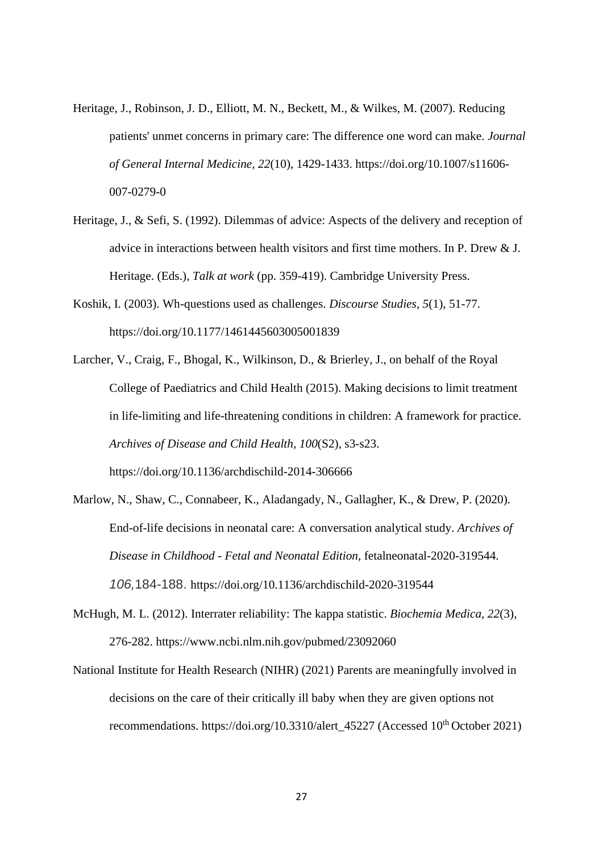- Heritage, J., Robinson, J. D., Elliott, M. N., Beckett, M., & Wilkes, M. (2007). Reducing patients' unmet concerns in primary care: The difference one word can make. *Journal of General Internal Medicine, 22*(10), 1429-1433. https://doi.org/10.1007/s11606- 007-0279-0
- Heritage, J., & Sefi, S. (1992). Dilemmas of advice: Aspects of the delivery and reception of advice in interactions between health visitors and first time mothers. In P. Drew & J. Heritage. (Eds.), *Talk at work* (pp. 359-419). Cambridge University Press.
- Koshik, I. (2003). Wh-questions used as challenges. *Discourse Studies, 5*(1), 51-77. https://doi.org/10.1177/1461445603005001839
- Larcher, V., Craig, F., Bhogal, K., Wilkinson, D., & Brierley, J., on behalf of the Royal College of Paediatrics and Child Health (2015). Making decisions to limit treatment in life-limiting and life-threatening conditions in children: A framework for practice. *Archives of Disease and Child Health, 100*(S2), s3-s23. https://doi.org/10.1136/archdischild-2014-306666
- Marlow, N., Shaw, C., Connabeer, K., Aladangady, N., Gallagher, K., & Drew, P. (2020). End-of-life decisions in neonatal care: A conversation analytical study. *Archives of Disease in Childhood - Fetal and Neonatal Edition,* fetalneonatal-2020-319544. *106,*184-188. https://doi.org/10.1136/archdischild-2020-319544
- McHugh, M. L. (2012). Interrater reliability: The kappa statistic. *Biochemia Medica, 22*(3), 276-282. https://www.ncbi.nlm.nih.gov/pubmed/23092060
- National Institute for Health Research (NIHR) (2021) Parents are meaningfully involved in decisions on the care of their critically ill baby when they are given options not recommendations. https://doi.org/10.3310/alert\_45227 (Accessed 10<sup>th</sup> October 2021)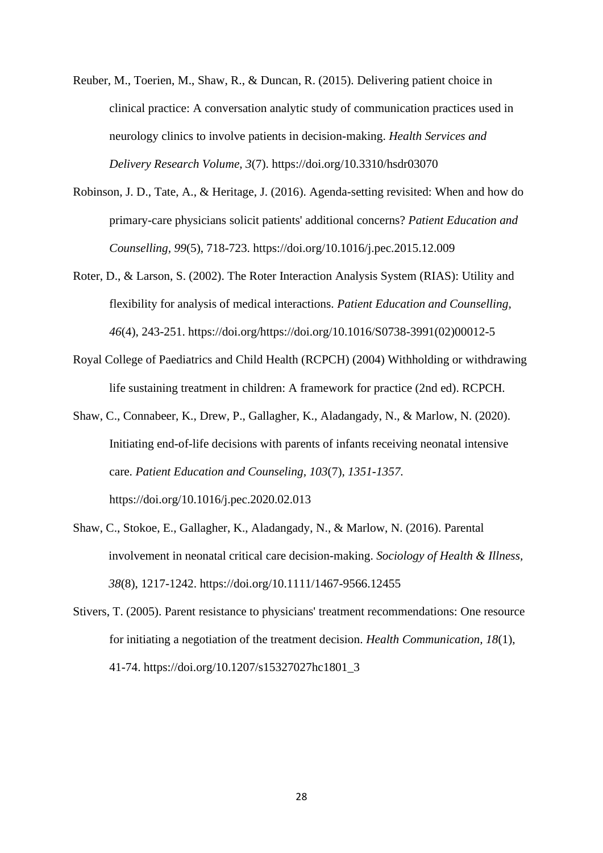- Reuber, M., Toerien, M., Shaw, R., & Duncan, R. (2015). Delivering patient choice in clinical practice: A conversation analytic study of communication practices used in neurology clinics to involve patients in decision-making. *Health Services and Delivery Research Volume, 3*(7). https://doi.org/10.3310/hsdr03070
- Robinson, J. D., Tate, A., & Heritage, J. (2016). Agenda-setting revisited: When and how do primary-care physicians solicit patients' additional concerns? *Patient Education and Counselling, 99*(5), 718-723. https://doi.org/10.1016/j.pec.2015.12.009
- Roter, D., & Larson, S. (2002). The Roter Interaction Analysis System (RIAS): Utility and flexibility for analysis of medical interactions. *Patient Education and Counselling, 46*(4), 243-251. https://doi.org/https://doi.org/10.1016/S0738-3991(02)00012-5
- Royal College of Paediatrics and Child Health (RCPCH) (2004) Withholding or withdrawing life sustaining treatment in children: A framework for practice (2nd ed). RCPCH.
- Shaw, C., Connabeer, K., Drew, P., Gallagher, K., Aladangady, N., & Marlow, N. (2020). Initiating end-of-life decisions with parents of infants receiving neonatal intensive care. *Patient Education and Counseling, 103*(7)*, 1351-1357.* https://doi.org/10.1016/j.pec.2020.02.013
- Shaw, C., Stokoe, E., Gallagher, K., Aladangady, N., & Marlow, N. (2016). Parental involvement in neonatal critical care decision-making. *Sociology of Health & Illness, 38*(8), 1217-1242. https://doi.org/10.1111/1467-9566.12455
- Stivers, T. (2005). Parent resistance to physicians' treatment recommendations: One resource for initiating a negotiation of the treatment decision. *Health Communication, 18*(1), 41-74. https://doi.org/10.1207/s15327027hc1801\_3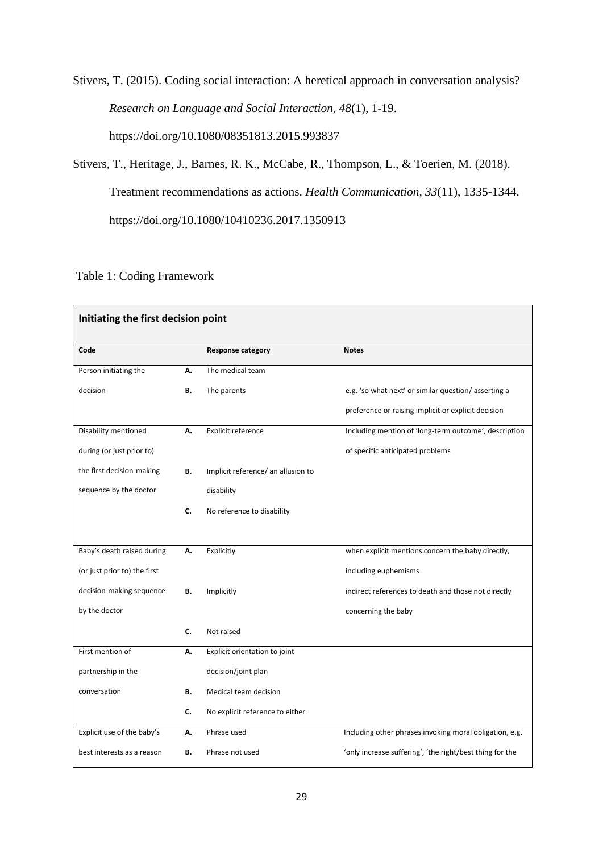Stivers, T. (2015). Coding social interaction: A heretical approach in conversation analysis? *Research on Language and Social Interaction, 48*(1), 1-19. https://doi.org/10.1080/08351813.2015.993837

Stivers, T., Heritage, J., Barnes, R. K., McCabe, R., Thompson, L., & Toerien, M. (2018). Treatment recommendations as actions. *Health Communication, 33*(11), 1335-1344. https://doi.org/10.1080/10410236.2017.1350913

## Table 1: Coding Framework

| Initiating the first decision point |    |                                    |                                                          |  |  |
|-------------------------------------|----|------------------------------------|----------------------------------------------------------|--|--|
| Code                                |    | <b>Response category</b>           | <b>Notes</b>                                             |  |  |
| Person initiating the               | А. | The medical team                   |                                                          |  |  |
| decision                            | В. | The parents                        | e.g. 'so what next' or similar question/asserting a      |  |  |
|                                     |    |                                    | preference or raising implicit or explicit decision      |  |  |
| Disability mentioned                | Α. | Explicit reference                 | Including mention of 'long-term outcome', description    |  |  |
| during (or just prior to)           |    |                                    | of specific anticipated problems                         |  |  |
| the first decision-making           | В. | Implicit reference/ an allusion to |                                                          |  |  |
| sequence by the doctor              |    | disability                         |                                                          |  |  |
|                                     | C. | No reference to disability         |                                                          |  |  |
|                                     |    |                                    |                                                          |  |  |
| Baby's death raised during          | Α. | Explicitly                         | when explicit mentions concern the baby directly,        |  |  |
| (or just prior to) the first        |    |                                    | including euphemisms                                     |  |  |
| decision-making sequence            | В. | Implicitly                         | indirect references to death and those not directly      |  |  |
| by the doctor                       |    |                                    | concerning the baby                                      |  |  |
|                                     | C. | Not raised                         |                                                          |  |  |
| First mention of                    | А. | Explicit orientation to joint      |                                                          |  |  |
| partnership in the                  |    | decision/joint plan                |                                                          |  |  |
| conversation                        | В. | Medical team decision              |                                                          |  |  |
|                                     | C. | No explicit reference to either    |                                                          |  |  |
| Explicit use of the baby's          | Α. | Phrase used                        | Including other phrases invoking moral obligation, e.g.  |  |  |
| best interests as a reason          | В. | Phrase not used                    | 'only increase suffering', 'the right/best thing for the |  |  |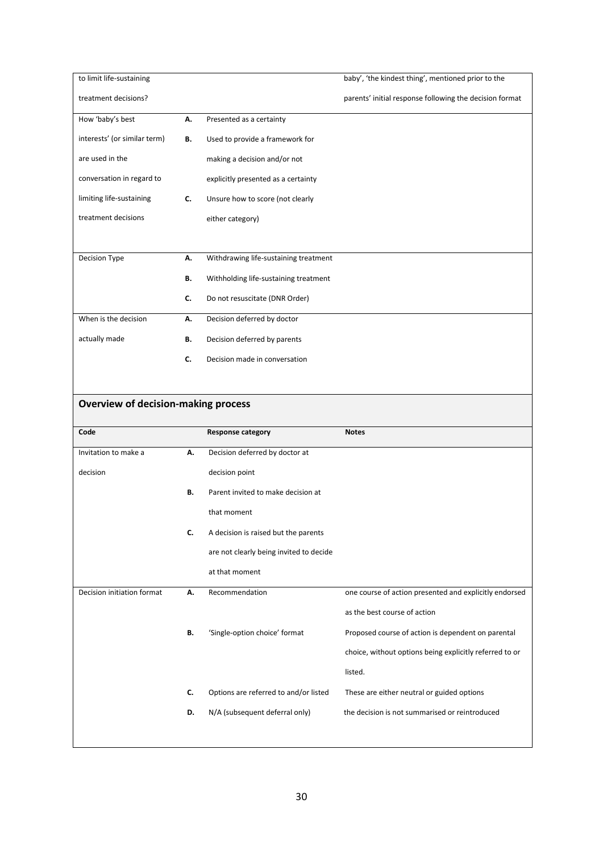| to limit life-sustaining     |    |                                       | baby', 'the kindest thing', mentioned prior to the      |
|------------------------------|----|---------------------------------------|---------------------------------------------------------|
| treatment decisions?         |    |                                       | parents' initial response following the decision format |
| How 'baby's best             | Α. | Presented as a certainty              |                                                         |
| interests' (or similar term) | В. | Used to provide a framework for       |                                                         |
| are used in the              |    | making a decision and/or not          |                                                         |
| conversation in regard to    |    | explicitly presented as a certainty   |                                                         |
| limiting life-sustaining     | c. | Unsure how to score (not clearly      |                                                         |
| treatment decisions          |    | either category)                      |                                                         |
|                              |    |                                       |                                                         |
| <b>Decision Type</b>         | Α. | Withdrawing life-sustaining treatment |                                                         |
|                              | В. | Withholding life-sustaining treatment |                                                         |
|                              | c. | Do not resuscitate (DNR Order)        |                                                         |
| When is the decision         | Α. | Decision deferred by doctor           |                                                         |
| actually made                | В. | Decision deferred by parents          |                                                         |
|                              | C. | Decision made in conversation         |                                                         |
|                              |    |                                       |                                                         |

## **Overview of decision-making process**

| Code                       |           | <b>Response category</b>                | <b>Notes</b>                                            |
|----------------------------|-----------|-----------------------------------------|---------------------------------------------------------|
| Invitation to make a       | Α.        | Decision deferred by doctor at          |                                                         |
| decision                   |           | decision point                          |                                                         |
|                            | <b>B.</b> | Parent invited to make decision at      |                                                         |
|                            |           | that moment                             |                                                         |
|                            | C.        | A decision is raised but the parents    |                                                         |
|                            |           | are not clearly being invited to decide |                                                         |
|                            |           | at that moment                          |                                                         |
| Decision initiation format | Α.        | Recommendation                          | one course of action presented and explicitly endorsed  |
|                            |           |                                         | as the best course of action                            |
|                            | В.        | 'Single-option choice' format           | Proposed course of action is dependent on parental      |
|                            |           |                                         | choice, without options being explicitly referred to or |
|                            |           |                                         | listed.                                                 |
|                            | C.        | Options are referred to and/or listed   | These are either neutral or guided options              |
|                            | D.        | N/A (subsequent deferral only)          | the decision is not summarised or reintroduced          |
|                            |           |                                         |                                                         |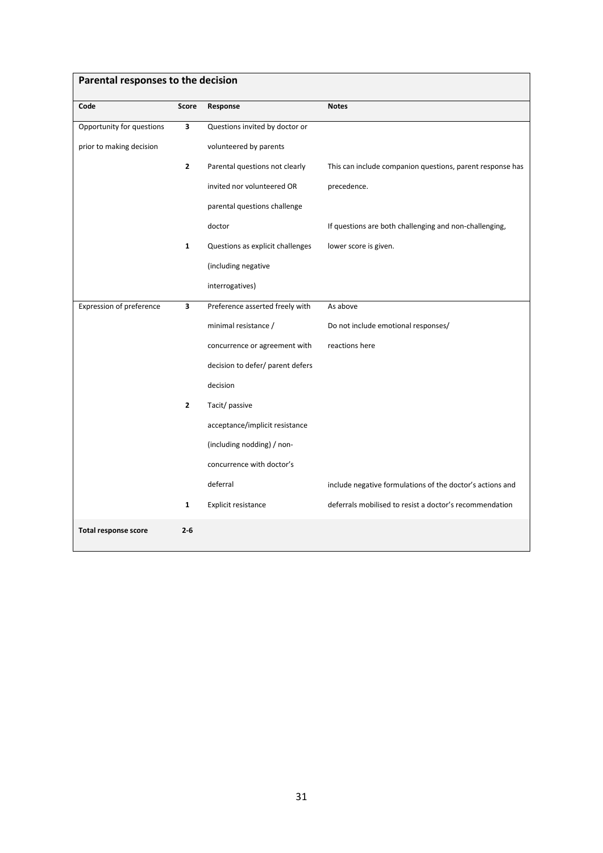| Parental responses to the decision |                |                                  |                                                           |  |
|------------------------------------|----------------|----------------------------------|-----------------------------------------------------------|--|
| Code                               | Score          | Response                         | <b>Notes</b>                                              |  |
| Opportunity for questions          | 3              | Questions invited by doctor or   |                                                           |  |
| prior to making decision           |                | volunteered by parents           |                                                           |  |
|                                    | $\mathbf{2}$   | Parental questions not clearly   | This can include companion questions, parent response has |  |
|                                    |                | invited nor volunteered OR       | precedence.                                               |  |
|                                    |                | parental questions challenge     |                                                           |  |
|                                    |                | doctor                           | If questions are both challenging and non-challenging,    |  |
|                                    | $\mathbf{1}$   | Questions as explicit challenges | lower score is given.                                     |  |
|                                    |                | (including negative              |                                                           |  |
|                                    |                | interrogatives)                  |                                                           |  |
| Expression of preference           | 3              | Preference asserted freely with  | As above                                                  |  |
|                                    |                | minimal resistance /             | Do not include emotional responses/                       |  |
|                                    |                | concurrence or agreement with    | reactions here                                            |  |
|                                    |                | decision to defer/ parent defers |                                                           |  |
|                                    |                | decision                         |                                                           |  |
|                                    | $\overline{2}$ | Tacit/ passive                   |                                                           |  |
|                                    |                | acceptance/implicit resistance   |                                                           |  |
|                                    |                | (including nodding) / non-       |                                                           |  |
|                                    |                | concurrence with doctor's        |                                                           |  |
|                                    |                | deferral                         | include negative formulations of the doctor's actions and |  |
|                                    | 1              | Explicit resistance              | deferrals mobilised to resist a doctor's recommendation   |  |
| <b>Total response score</b>        | $2-6$          |                                  |                                                           |  |